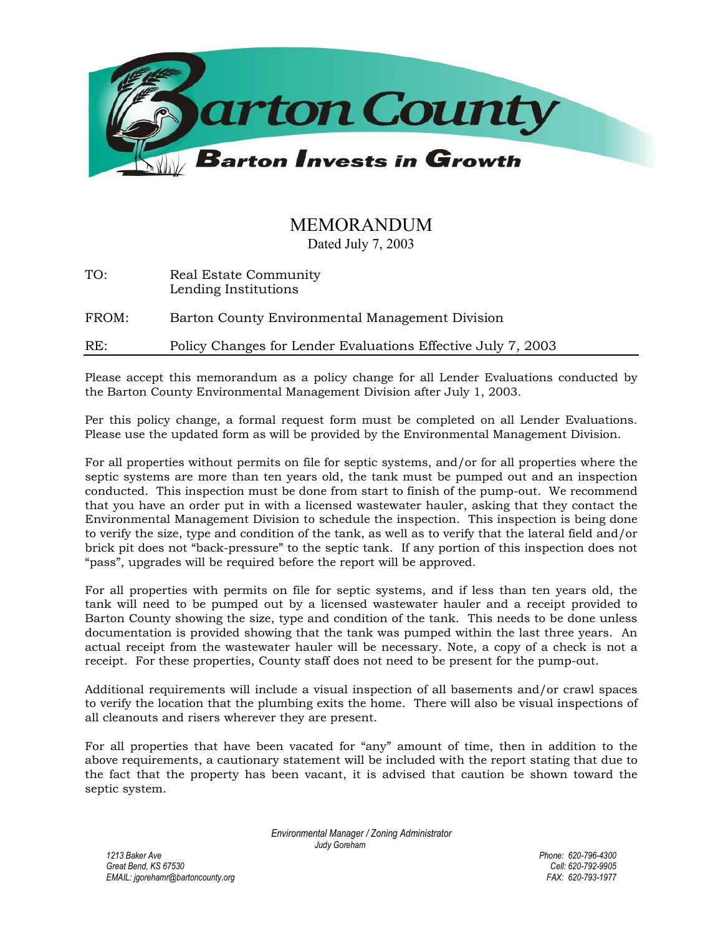

## MEMORANDUM

Dated July 7, 2003

| TO: | Real Estate Community |
|-----|-----------------------|
|     | Lending Institutions  |

FROM: Barton County Environmental Management Division

RE: Policy Changes for Lender Evaluations Effective July 7, 2003

Please accept this memorandum as a policy change for all Lender Evaluations conducted by the Barton County Environmental Management Division after July 1, 2003.

Per this policy change, a formal request form must be completed on all Lender Evaluations. Please use the updated form as will be provided by the Environmental Management Division.

For all properties without permits on file for septic systems, and/or for all properties where the septic systems are more than ten years old, the tank must be pumped out and an inspection conducted. This inspection must be done from start to finish of the pump-out. We recommend that you have an order put in with a licensed wastewater hauler, asking that they contact the Environmental Management Division to schedule the inspection. This inspection is being done to verify the size, type and condition of the tank, as well as to verify that the lateral field and/or brick pit does not "back-pressure" to the septic tank. If any portion of this inspection does not "pass", upgrades will be required before the report will be approved.

For all properties with permits on file for septic systems, and if less than ten years old, the tank will need to be pumped out by a licensed wastewater hauler and a receipt provided to Barton County showing the size, type and condition of the tank. This needs to be done unless documentation is provided showing that the tank was pumped within the last three years. An actual receipt from the wastewater hauler will be necessary. Note, a copy of a check is not a receipt. For these properties, County staff does not need to be present for the pump-out.

Additional requirements will include a visual inspection of all basements and/or crawl spaces to verify the location that the plumbing exits the home. There will also be visual inspections of all cleanouts and risers wherever they are present.

For all properties that have been vacated for "any" amount of time, then in addition to the above requirements, a cautionary statement will be included with the report stating that due to the fact that the property has been vacant, it is advised that caution be shown toward the septic system.

> *Environmental Manager / Zoning Administrator Judy Goreham*

*1213 Baker Ave Phone: 620-796-4300 Great Bend, KS 67530 Cell: 620-792-9905 EMAIL: jgorehamr@bartoncounty.org*